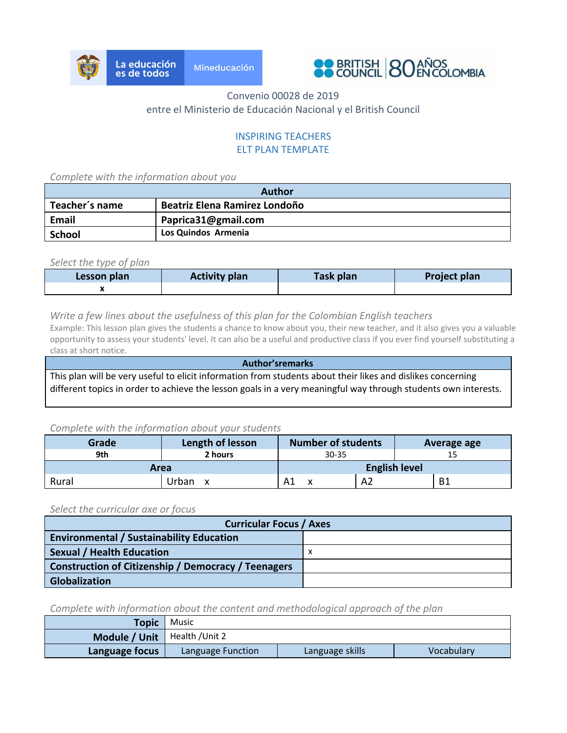



# Convenio 00028 de 2019 entre el Ministerio de Educación Nacional y el British Council

## INSPIRING TEACHERS ELT PLAN TEMPLATE

*Complete with the information about you*

| Author         |                               |  |
|----------------|-------------------------------|--|
| Teacher's name | Beatriz Elena Ramirez Londoño |  |
| <b>Email</b>   | Paprica31@gmail.com           |  |
| School         | Los Quindos Armenia           |  |

*Select the type of plan*

| Lesson plan | <b>Activity plan</b> | <b>Task plan</b> | Project plan |
|-------------|----------------------|------------------|--------------|
|             |                      |                  |              |

#### *Write a few lines about the usefulness of this plan for the Colombian English teachers*

Example: This lesson plan gives the students a chance to know about you, their new teacher, and it also gives you a valuable opportunity to assess your students' level. It can also be a useful and productive class if you ever find yourself substituting a class at short notice.

**Author'sremarks** This plan will be very useful to elicit information from students about their likes and dislikes concerning different topics in order to achieve the lesson goals in a very meaningful way through students own interests.

#### *Complete with the information about your students*

| Grade | Length of lesson | <b>Number of students</b> |     | Average age |
|-------|------------------|---------------------------|-----|-------------|
| 9th   | 2 hours          | $30 - 35$                 |     |             |
| Area  |                  | <b>English level</b>      |     |             |
| Rural | Jrban<br>x       |                           | -Az | B1          |

#### *Select the curricular axe or focus*

| <b>Curricular Focus / Axes</b>                             |   |  |  |
|------------------------------------------------------------|---|--|--|
| <b>Environmental / Sustainability Education</b>            |   |  |  |
| Sexual / Health Education                                  | х |  |  |
| <b>Construction of Citizenship / Democracy / Teenagers</b> |   |  |  |
| <b>Globalization</b>                                       |   |  |  |

*Complete with information about the content and methodological approach of the plan*

| <b>Topic</b>                    | Music             |                 |            |
|---------------------------------|-------------------|-----------------|------------|
| Module / Unit   Health / Unit 2 |                   |                 |            |
| Language focus                  | Language Function | Language skills | Vocabulary |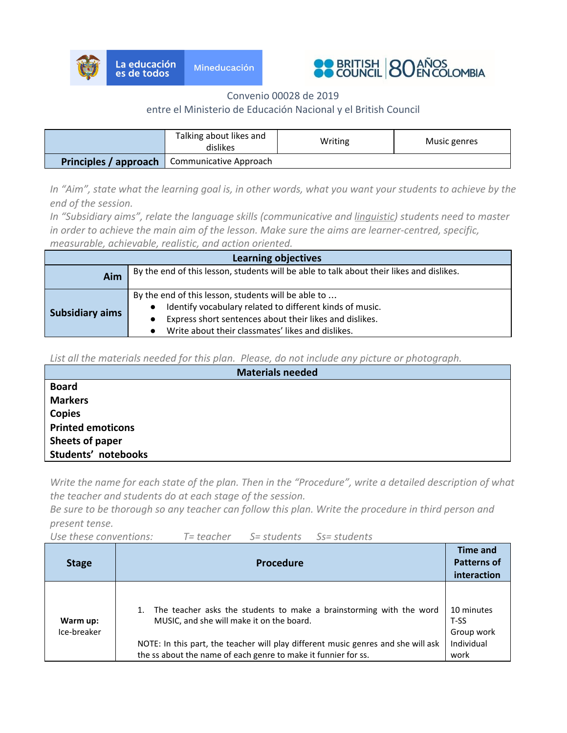



Convenio 00028 de 2019

## entre el Ministerio de Educación Nacional y el British Council

| Talking about likes and<br>dislikes |                        | Writing | Music genres |
|-------------------------------------|------------------------|---------|--------------|
| Principles / approach               | Communicative Approach |         |              |

*In "Aim", state what the learning goal is, in other words, what you want your students to achieve by the end of the session.*

*In "Subsidiary aims", relate the language skills (communicative and linguistic) students need to master in order to achieve the main aim of the lesson. Make sure the aims are learner-centred, specific, measurable, achievable, realistic, and action oriented.*

| Learning objectives    |                                                                                                                                                                                                                                 |  |  |
|------------------------|---------------------------------------------------------------------------------------------------------------------------------------------------------------------------------------------------------------------------------|--|--|
| Aim                    | By the end of this lesson, students will be able to talk about their likes and dislikes.                                                                                                                                        |  |  |
| <b>Subsidiary aims</b> | By the end of this lesson, students will be able to<br>Identify vocabulary related to different kinds of music.<br>Express short sentences about their likes and dislikes.<br>Write about their classmates' likes and dislikes. |  |  |

*List all the materials needed for this plan. Please, do not include any picture or photograph.*

| <b>Materials needed</b>  |
|--------------------------|
| <b>Board</b>             |
| <b>Markers</b>           |
| <b>Copies</b>            |
| <b>Printed emoticons</b> |
| Sheets of paper          |
| Students' notebooks      |

*Write the name for each state of the plan. Then in the "Procedure", write a detailed description of what the teacher and students do at each stage of the session.*

*Be sure to be thorough so any teacher can follow this plan. Write the procedure in third person and present tense.*

*Use these conventions: T= teacher S= students Ss= students*

| <b>Stage</b>            | <b>Procedure</b>                                                                                                                                                                                                                                                        | Time and<br><b>Patterns of</b><br>interaction          |
|-------------------------|-------------------------------------------------------------------------------------------------------------------------------------------------------------------------------------------------------------------------------------------------------------------------|--------------------------------------------------------|
| Warm up:<br>Ice-breaker | The teacher asks the students to make a brainstorming with the word<br>MUSIC, and she will make it on the board.<br>NOTE: In this part, the teacher will play different music genres and she will ask<br>the ss about the name of each genre to make it funnier for ss. | 10 minutes<br>T-SS<br>Group work<br>Individual<br>work |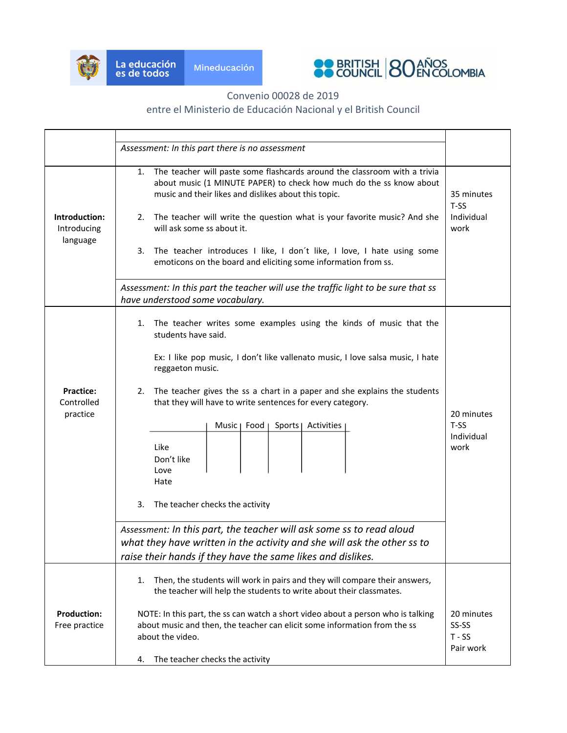



#### Convenio 00028 de 2019

# entre el Ministerio de Educación Nacional y el British Council

|                                            | Assessment: In this part there is no assessment                                                                                                                                                                                                                                                                                                                                                                                                                                                                                                                        |                                            |  |  |
|--------------------------------------------|------------------------------------------------------------------------------------------------------------------------------------------------------------------------------------------------------------------------------------------------------------------------------------------------------------------------------------------------------------------------------------------------------------------------------------------------------------------------------------------------------------------------------------------------------------------------|--------------------------------------------|--|--|
| Introduction:<br>Introducing<br>language   | The teacher will paste some flashcards around the classroom with a trivia<br>1.<br>about music (1 MINUTE PAPER) to check how much do the ss know about<br>music and their likes and dislikes about this topic.<br>The teacher will write the question what is your favorite music? And she<br>2.<br>will ask some ss about it.<br>3.<br>The teacher introduces I like, I don't like, I love, I hate using some<br>emoticons on the board and eliciting some information from ss.<br>Assessment: In this part the teacher will use the traffic light to be sure that ss |                                            |  |  |
|                                            | have understood some vocabulary.                                                                                                                                                                                                                                                                                                                                                                                                                                                                                                                                       |                                            |  |  |
| <b>Practice:</b><br>Controlled<br>practice | The teacher writes some examples using the kinds of music that the<br>1.<br>students have said.<br>Ex: I like pop music, I don't like vallenato music, I love salsa music, I hate<br>reggaeton music.<br>The teacher gives the ss a chart in a paper and she explains the students<br>2.<br>that they will have to write sentences for every category.<br>Music   Food<br>Sports   Activities<br>Like<br>Don't like<br>Love<br>Hate<br>3.<br>The teacher checks the activity                                                                                           | 20 minutes<br>$T-SS$<br>Individual<br>work |  |  |
|                                            |                                                                                                                                                                                                                                                                                                                                                                                                                                                                                                                                                                        |                                            |  |  |
|                                            | Assessment: In this part, the teacher will ask some ss to read aloud                                                                                                                                                                                                                                                                                                                                                                                                                                                                                                   |                                            |  |  |
|                                            | what they have written in the activity and she will ask the other ss to<br>raise their hands if they have the same likes and dislikes.                                                                                                                                                                                                                                                                                                                                                                                                                                 |                                            |  |  |
|                                            |                                                                                                                                                                                                                                                                                                                                                                                                                                                                                                                                                                        |                                            |  |  |
| <b>Production:</b>                         | Then, the students will work in pairs and they will compare their answers,<br>1.<br>the teacher will help the students to write about their classmates.<br>NOTE: In this part, the ss can watch a short video about a person who is talking                                                                                                                                                                                                                                                                                                                            | 20 minutes                                 |  |  |
| Free practice                              | about music and then, the teacher can elicit some information from the ss                                                                                                                                                                                                                                                                                                                                                                                                                                                                                              | SS-SS                                      |  |  |
|                                            | about the video.                                                                                                                                                                                                                                                                                                                                                                                                                                                                                                                                                       | $T - SS$<br>Pair work                      |  |  |
|                                            | The teacher checks the activity<br>4.                                                                                                                                                                                                                                                                                                                                                                                                                                                                                                                                  |                                            |  |  |